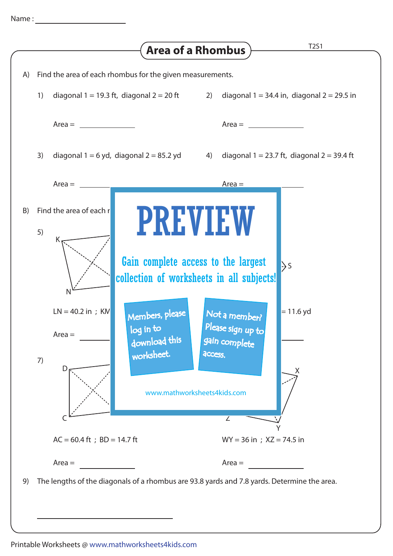